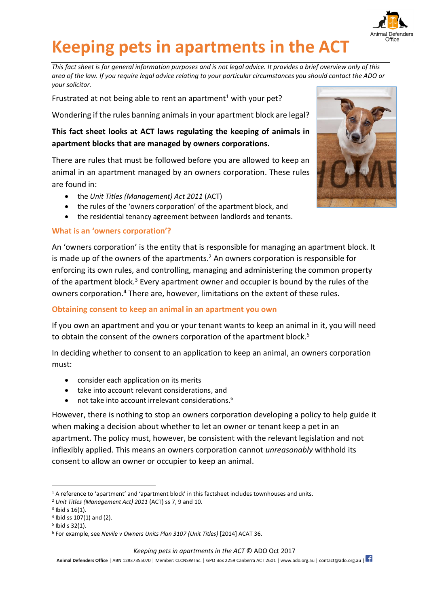

# **Keeping pets in apartments in the ACT**

*This fact sheet is for general information purposes and is not legal advice. It provides a brief overview only of this area of the law. If you require legal advice relating to your particular circumstances you should contact the ADO or your solicitor.*

Frustrated at not being able to rent an apartment<sup>1</sup> with your pet?

Wondering if the rules banning animals in your apartment block are legal?

## **This fact sheet looks at ACT laws regulating the keeping of animals in apartment blocks that are managed by owners corporations.**

There are rules that must be followed before you are allowed to keep an animal in an apartment managed by an owners corporation. These rules are found in:

- the *Unit Titles (Management) Act 2011* (ACT)
- the rules of the 'owners corporation' of the apartment block, and
- the residential tenancy agreement between landlords and tenants.

### **What is an 'owners corporation'?**

An 'owners corporation' is the entity that is responsible for managing an apartment block. It is made up of the owners of the apartments.<sup>2</sup> An owners corporation is responsible for enforcing its own rules, and controlling, managing and administering the common property of the apartment block.<sup>3</sup> Every apartment owner and occupier is bound by the rules of the owners corporation. <sup>4</sup> There are, however, limitations on the extent of these rules.

## **Obtaining consent to keep an animal in an apartment you own**

If you own an apartment and you or your tenant wants to keep an animal in it, you will need to obtain the consent of the owners corporation of the apartment block.<sup>5</sup>

In deciding whether to consent to an application to keep an animal, an owners corporation must:

- consider each application on its merits
- take into account relevant considerations, and
- not take into account irrelevant considerations.<sup>6</sup>

However, there is nothing to stop an owners corporation developing a policy to help guide it when making a decision about whether to let an owner or tenant keep a pet in an apartment. The policy must, however, be consistent with the relevant legislation and not inflexibly applied. This means an owners corporation cannot *unreasonably* withhold its consent to allow an owner or occupier to keep an animal.

*Keeping pets in apartments in the ACT* © ADO Oct 2017



<sup>-</sup><sup>1</sup> A reference to 'apartment' and 'apartment block' in this factsheet includes townhouses and units.

<sup>2</sup> *Unit Titles (Management Act) 2011* (ACT) ss 7, 9 and 10.

 $3$  lbid s  $16(1)$ .

<sup>4</sup> Ibid ss 107(1) and (2).

<sup>5</sup> Ibid s 32(1).

<sup>6</sup> For example, see *Nevile v Owners Units Plan 3107 (Unit Titles)* [2014] ACAT 36.